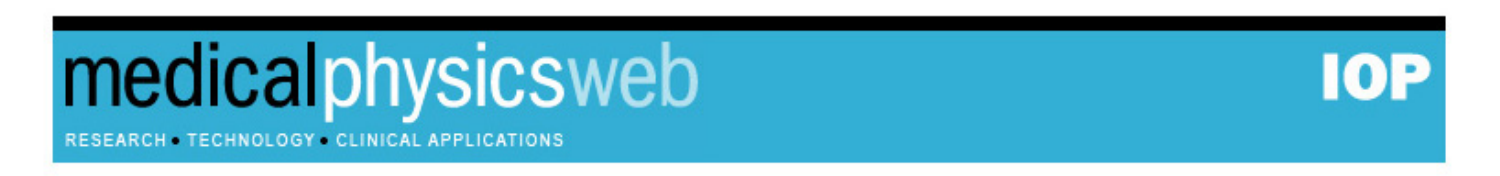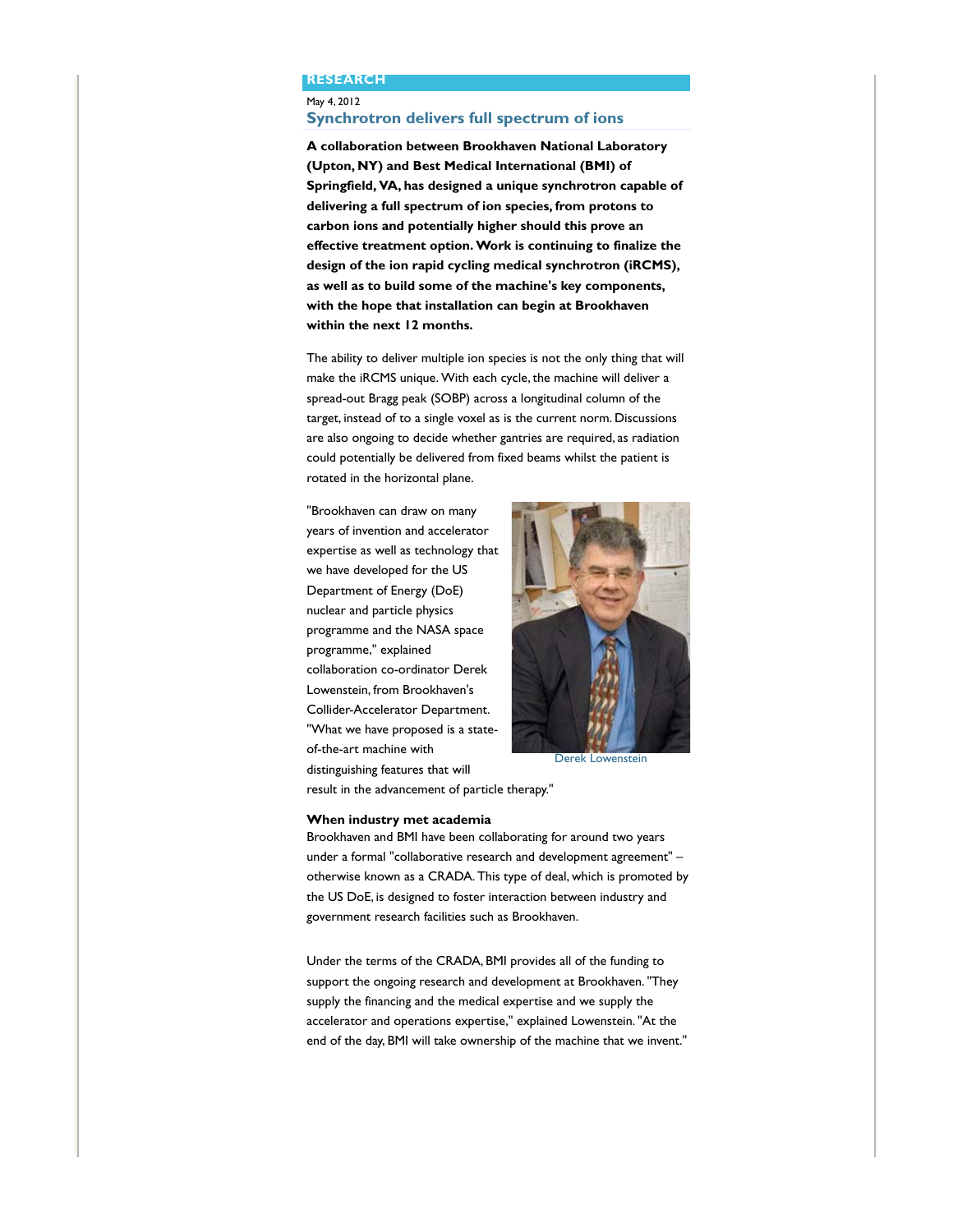#### **RESEARCH**

## May 4, 2012 **Synchrotron delivers full spectrum of ions**

**A collaboration between Brookhaven National Laboratory (Upton, NY) and Best Medical International (BMI) of Springfield, VA, has designed a unique synchrotron capable of delivering a full spectrum of ion species, from protons to carbon ions and potentially higher should this prove an effective treatment option. Work is continuing to finalize the design of the ion rapid cycling medical synchrotron (iRCMS), as well as to build some of the machine's key components, with the hope that installation can begin at Brookhaven within the next 12 months.**

The ability to deliver multiple ion species is not the only thing that will make the iRCMS unique. With each cycle, the machine will deliver a spread-out Bragg peak (SOBP) across a longitudinal column of the target, instead of to a single voxel as is the current norm. Discussions are also ongoing to decide whether gantries are required, as radiation could potentially be delivered from fixed beams whilst the patient is rotated in the horizontal plane.

"Brookhaven can draw on many years of invention and accelerator expertise as well as technology that we have developed for the US Department of Energy (DoE) nuclear and particle physics programme and the NASA space programme," explained collaboration co-ordinator Derek Lowenstein, from Brookhaven's Collider-Accelerator Department. "What we have proposed is a stateof-the-art machine with distinguishing features that will



Derek Lowenstein

result in the advancement of particle therapy."

### **When industry met academia**

Brookhaven and BMI have been collaborating for around two years under a formal "collaborative research and development agreement" – otherwise known as a CRADA. This type of deal, which is promoted by the US DoE, is designed to foster interaction between industry and government research facilities such as Brookhaven.

Under the terms of the CRADA, BMI provides all of the funding to support the ongoing research and development at Brookhaven. "They supply the financing and the medical expertise and we supply the accelerator and operations expertise," explained Lowenstein. "At the end of the day, BMI will take ownership of the machine that we invent."